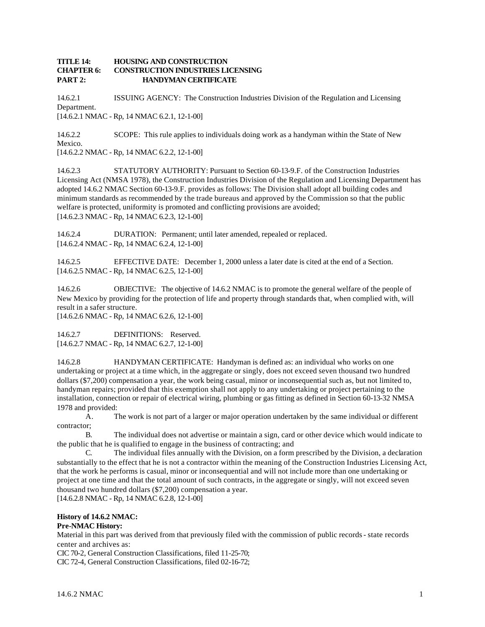## **TITLE 14: HOUSING AND CONSTRUCTION CHAPTER 6: CONSTRUCTION INDUSTRIES LICENSING PART 2: HANDYMAN CERTIFICATE**

14.6.2.1 ISSUING AGENCY: The Construction Industries Division of the Regulation and Licensing Department. [14.6.2.1 NMAC - Rp, 14 NMAC 6.2.1, 12-1-00]

14.6.2.2 SCOPE: This rule applies to individuals doing work as a handyman within the State of New Mexico. [14.6.2.2 NMAC - Rp, 14 NMAC 6.2.2, 12-1-00]

14.6.2.3 STATUTORY AUTHORITY: Pursuant to Section 60-13-9.F. of the Construction Industries Licensing Act (NMSA 1978), the Construction Industries Division of the Regulation and Licensing Department has adopted 14.6.2 NMAC Section 60-13-9.F. provides as follows: The Division shall adopt all building codes and minimum standards as recommended by the trade bureaus and approved by the Commission so that the public welfare is protected, uniformity is promoted and conflicting provisions are avoided;

[14.6.2.3 NMAC - Rp, 14 NMAC 6.2.3, 12-1-00]

14.6.2.4 DURATION: Permanent; until later amended, repealed or replaced. [14.6.2.4 NMAC - Rp, 14 NMAC 6.2.4, 12-1-00]

14.6.2.5 EFFECTIVE DATE: December 1, 2000 unless a later date is cited at the end of a Section. [14.6.2.5 NMAC - Rp, 14 NMAC 6.2.5, 12-1-00]

14.6.2.6 OBJECTIVE: The objective of 14.6.2 NMAC is to promote the general welfare of the people of New Mexico by providing for the protection of life and property through standards that, when complied with, will result in a safer structure.

[14.6.2.6 NMAC - Rp, 14 NMAC 6.2.6, 12-1-00]

14.6.2.7 DEFINITIONS: Reserved. [14.6.2.7 NMAC - Rp, 14 NMAC 6.2.7, 12-1-00]

14.6.2.8 HANDYMAN CERTIFICATE: Handyman is defined as: an individual who works on one undertaking or project at a time which, in the aggregate or singly, does not exceed seven thousand two hundred dollars (\$7,200) compensation a year, the work being casual, minor or inconsequential such as, but not limited to, handyman repairs; provided that this exemption shall not apply to any undertaking or project pertaining to the installation, connection or repair of electrical wiring, plumbing or gas fitting as defined in Section 60-13-32 NMSA 1978 and provided:

A. The work is not part of a larger or major operation undertaken by the same individual or different contractor;

B. The individual does not advertise or maintain a sign, card or other device which would indicate to the public that he is qualified to engage in the business of contracting; and

C. The individual files annually with the Division, on a form prescribed by the Division, a declaration substantially to the effect that he is not a contractor within the meaning of the Construction Industries Licensing Act, that the work he performs is casual, minor or inconsequential and will not include more than one undertaking or project at one time and that the total amount of such contracts, in the aggregate or singly, will not exceed seven thousand two hundred dollars (\$7,200) compensation a year.

[14.6.2.8 NMAC - Rp, 14 NMAC 6.2.8, 12-1-00]

## **History of 14.6.2 NMAC:**

## **Pre-NMAC History:**

Material in this part was derived from that previously filed with the commission of public records - state records center and archives as:

CIC 70-2, General Construction Classifications, filed 11-25-70;

CIC 72-4, General Construction Classifications, filed 02-16-72;